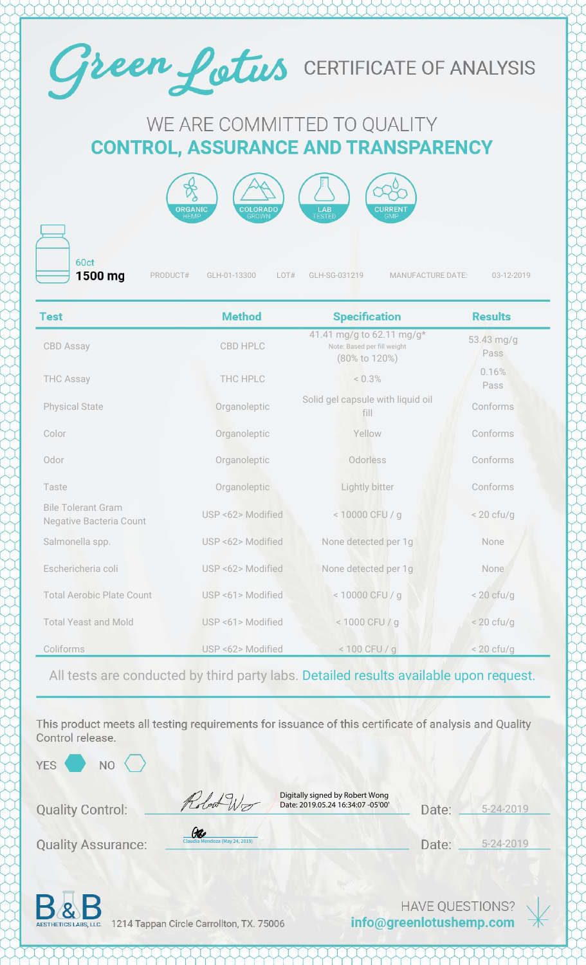

## WE ARE COMMITTED TO QUALITY **CONTROL, ASSURANCE AND TRANSPARENCY**



60ct 1500 mg

PRODUCT# GLH-01-13300 LOT# GLH-SG-031219 MANUFACTURE DATE: 03-12-2019

| <b>Test</b>                                                 | <b>Method</b>     | <b>Specification</b>                                                      | <b>Results</b>     |
|-------------------------------------------------------------|-------------------|---------------------------------------------------------------------------|--------------------|
| <b>CBD Assay</b>                                            | <b>CBD HPLC</b>   | 41.41 mg/g to 62.11 mg/g*<br>Note: Based per fill weight<br>(80% to 120%) | 53.43 mg/g<br>Pass |
| <b>THC Assay</b>                                            | THC HPLC          | < 0.3%                                                                    | 0.16%<br>Pass      |
| <b>Physical State</b>                                       | Organoleptic      | Solid gel capsule with liquid oil<br>fill                                 | Conforms           |
| Color                                                       | Organoleptic      | Yellow                                                                    | Conforms           |
| Odor                                                        | Organoleptic      | Odorless                                                                  | Conforms           |
| Taste                                                       | Organoleptic      | Lightly bitter                                                            | Conforms           |
| <b>Bile Tolerant Gram</b><br><b>Negative Bacteria Count</b> | USP <62> Modified | < 10000 CFU / g                                                           | $< 20$ cfu/g       |
| Salmonella spp.                                             | USP <62> Modified | None detected per 1g                                                      | None               |
| Eschericheria coli                                          | USP <62> Modified | None detected per 1g                                                      | None               |
| <b>Total Aerobic Plate Count</b>                            | USP <61> Modified | <10000 CFU / g                                                            | $<$ 20 cfu/g       |
| <b>Total Yeast and Mold</b>                                 | USP <61> Modified | < 1000 CFU / g                                                            | $< 20$ cfu/g       |
| Coliforms                                                   | USP <62> Modified | $< 100$ CFU / g                                                           | $< 20$ cfu/g       |

All tests are conducted by third party labs. Detailed results available upon request.

This product meets all testing requirements for issuance of this certificate of analysis and Quality Control release.

NO

**Quality Control:** 

Digitally signed by Robert Wong Date: 2019.05.24 16:34:07 -05'00'

5-24-2019 Date:

**Quality Assurance:** 

Date: 5-24-2019



1214 Tappan Circle Carrollton, TX. 75006

[Claudia Mendoza \(May 24, 2019\)](https://na2.documents.adobe.com/verifier?tx=CBJCHBCAABAAX-o01JwG3kEinGGWPCqPrTH0O-VONBLT)

Ge

Robert W

**HAVE QUESTIONS?** info@greenlotushemp.com